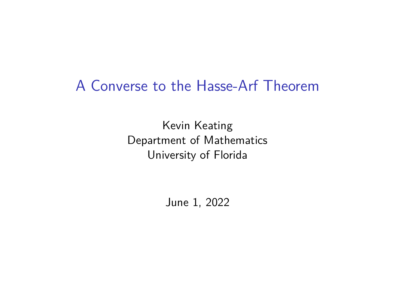## A Converse to the Hasse-Arf Theorem

Kevin Keating Department of Mathematics University of Florida

June 1, 2022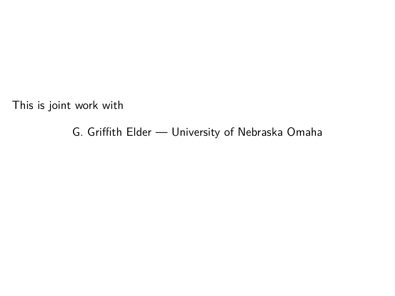This is joint work with

G. Griffith Elder — University of Nebraska Omaha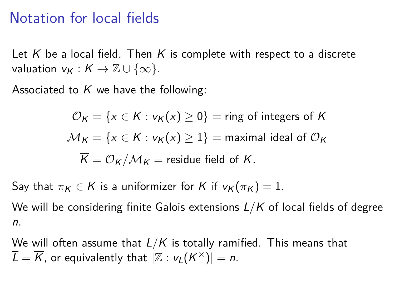### Notation for local fields

Let K be a local field. Then K is complete with respect to a discrete valuation  $v_K : K \to \mathbb{Z} \cup \{\infty\}.$ 

Associated to  $K$  we have the following:

$$
\mathcal{O}_K = \{x \in K : v_K(x) \ge 0\} = \text{ring of integers of } K
$$
  

$$
\mathcal{M}_K = \{x \in K : v_K(x) \ge 1\} = \text{maximal ideal of } \mathcal{O}_K
$$
  

$$
\overline{K} = \mathcal{O}_K/\mathcal{M}_K = \text{residue field of } K.
$$

Say that  $\pi_K \in K$  is a uniformizer for K if  $v_K(\pi_K) = 1$ .

We will be considering finite Galois extensions L*/*K of local fields of degree n.

We will often assume that L*/*K is totally ramified. This means that  $\overline{L} = \overline{K}$ , or equivalently that  $|\mathbb{Z} : \mathsf{v}_L(K^\times)| = n.$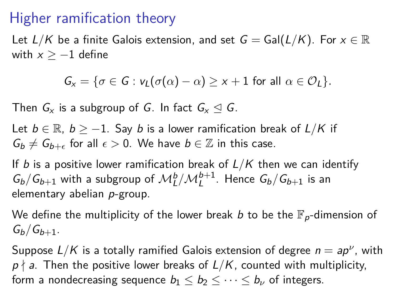## Higher ramification theory

Let  $L/K$  be a finite Galois extension, and set  $G = Gal(L/K)$ . For  $x \in \mathbb{R}$ with  $x \ge -1$  define

$$
G_x = \{ \sigma \in G : v_L(\sigma(\alpha) - \alpha) \geq x + 1 \text{ for all } \alpha \in \mathcal{O}_L \}.
$$

Then  $G_x$  is a subgroup of G. In fact  $G_x \trianglelefteq G$ .

Let  $b \in \mathbb{R}$ ,  $b \ge -1$ . Say b is a lower ramification break of  $L/K$  if  $G_b \neq G_{b+\epsilon}$  for all  $\epsilon > 0$ . We have  $b \in \mathbb{Z}$  in this case.

If b is a positive lower ramification break of  $L/K$  then we can identify  $G_b/G_{b+1}$  with a subgroup of  $\mathcal{M}_L^b/\mathcal{M}_L^{b+1}$ . Hence  $G_b/G_{b+1}$  is an elementary abelian p-group.

We define the multiplicity of the lower break b to be the  $\mathbb{F}_p$ -dimension of  $G_h/G_{h+1}$ .

Suppose  $L/K$  is a totally ramified Galois extension of degree  $n = ap^{\nu}$ , with  $p \nmid a$ . Then the positive lower breaks of  $L/K$ , counted with multiplicity, form a nondecreasing sequence  $b_1 \leq b_2 \leq \cdots \leq b_{\nu}$  of integers.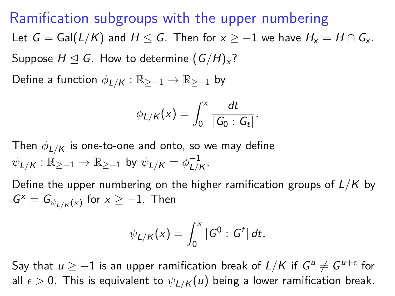Ramification subgroups with the upper numbering Let  $G = \text{Gal}(L/K)$  and  $H \leq G$ . Then for  $x \geq -1$  we have  $H_x = H \cap G_x$ . Suppose  $H \trianglelefteq G$ . How to determine  $(G/H)_x$ ?

Define a function  $\phi_{L/K} : \mathbb{R}_{\geq -1} \to \mathbb{R}_{\geq -1}$  by

$$
\phi_{L/K}(x)=\int_0^x\frac{dt}{|G_0:G_t|}.
$$

Then  $\phi_{L/K}$  is one-to-one and onto, so we may define  $\psi_{L/K} : \mathbb{R}_{\ge -1} \to \mathbb{R}_{\ge -1}$  by  $\psi_{L/K} = \phi_{L/K}^{-1}$ –1<br>*L|K`* 

Define the upper numbering on the higher ramification groups of L*/*K by  $G^x = G_{\psi_{L/K}(x)}$  for  $x \geq -1$ . Then

$$
\psi_{L/K}(x)=\int_0^x |G^0:G^t| dt.
$$

Say that  $u \geq -1$  is an upper ramification break of  $L/K$  if  $G^u \neq G^{u+\epsilon}$  for all  $\epsilon > 0$ . This is equivalent to  $\psi_{L/K}(u)$  being a lower ramification break.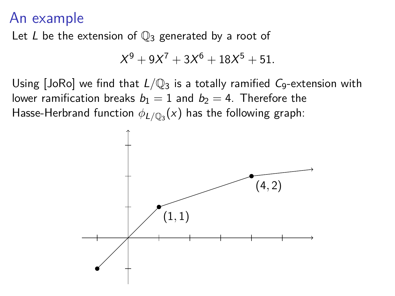### An example

Let L be the extension of  $\mathbb{Q}_3$  generated by a root of

$$
X^9 + 9X^7 + 3X^6 + 18X^5 + 51.
$$

Using [JoRo] we find that  $L/\mathbb{Q}_3$  is a totally ramified  $C_9$ -extension with lower ramification breaks  $b_1 = 1$  and  $b_2 = 4$ . Therefore the Hasse-Herbrand function  $\phi_{L/\mathbb{Q}_3}(\mathsf{x})$  has the following graph:

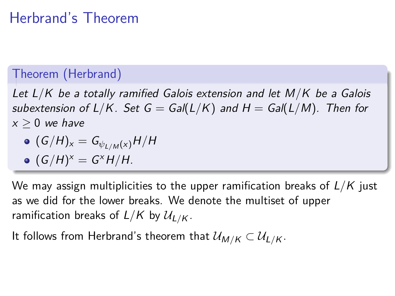# Herbrand's Theorem

#### Theorem (Herbrand)

Let L*/*K be a totally ramified Galois extension and let M*/*K be a Galois subextension of  $L/K$ . Set  $G = Gal(L/K)$  and  $H = Gal(L/M)$ . Then for  $x > 0$  we have

$$
\bullet \ (G/H)_x = G_{\psi_{L/M}(x)}H/H
$$

$$
\bullet \ (G/H)^x = G^x H/H.
$$

We may assign multiplicities to the upper ramification breaks of L*/*K just as we did for the lower breaks. We denote the multiset of upper ramification breaks of  $L/K$  by  $\mathcal{U}_{L/K}$ .

It follows from Herbrand's theorem that  $\mathcal{U}_{M/K} \subset \mathcal{U}_{L/K}$ .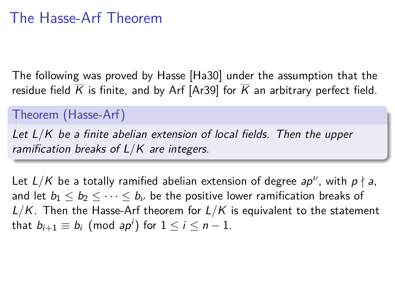### The Hasse-Arf Theorem

The following was proved by Hasse [Ha30] under the assumption that the residue field  $\overline{K}$  is finite, and by Arf [Ar39] for  $\overline{K}$  an arbitrary perfect field.

#### Theorem (Hasse-Arf)

Let L*/*K be a finite abelian extension of local fields. Then the upper ramification breaks of L*/*K are integers.

Let  $L/K$  be a totally ramified abelian extension of degree  $ap^{\nu}$ , with  $p\nmid a,$ and let  $b_1 \leq b_2 \leq \cdots \leq b_{\nu}$  be the positive lower ramification breaks of L*/*K. Then the Hasse-Arf theorem for L*/*K is equivalent to the statement that  $b_{i+1} \equiv b_i \pmod{ap^i}$  for  $1 \leq i \leq n-1$ .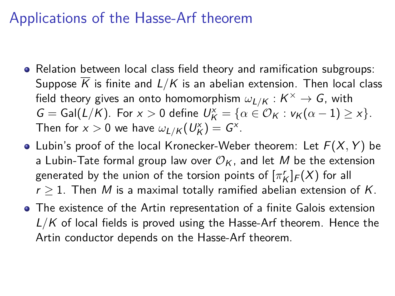### Applications of the Hasse-Arf theorem

- Relation between local class field theory and ramification subgroups: Suppose  $\overline{K}$  is finite and  $L/K$  is an abelian extension. Then local class field theory gives an onto homomorphism  $\omega_{L/K} : K^\times \to \mathcal{G}$ , with  $G = Gal(L/K)$ . For  $x > 0$  define  $U_K^x = \{ \alpha \in \mathcal{O}_K : v_K(\alpha - 1) \geq x \}.$ Then for  $x > 0$  we have  $\omega_{L/K}(U_K^x) = G^x$ .
- Lubin's proof of the local Kronecker-Weber theorem: Let  $F(X, Y)$  be a Lubin-Tate formal group law over  $\mathcal{O}_K$ , and let M be the extension generated by the union of the torsion points of  $[\pi_K^r]_F(X)$  for all  $r \geq 1$ . Then M is a maximal totally ramified abelian extension of K.
- The existence of the Artin representation of a finite Galois extension L/K of local fields is proved using the Hasse-Arf theorem. Hence the Artin conductor depends on the Hasse-Arf theorem.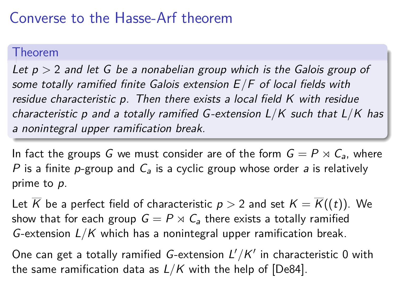## Converse to the Hasse-Arf theorem

#### Theorem

Let p *>* 2 and let G be a nonabelian group which is the Galois group of some totally ramified finite Galois extension E*/*F of local fields with residue characteristic p. Then there exists a local field K with residue characteristic p and a totally ramified G -extension L*/*K such that L*/*K has a nonintegral upper ramification break.

In fact the groups G we must consider are of the form  $G = P \rtimes C_a$ , where P is a finite p-group and  $C_a$  is a cyclic group whose order a is relatively prime to p.

Let  $\overline{K}$  be a perfect field of characteristic  $p > 2$  and set  $K = \overline{K}((t))$ . We show that for each group  $G = P \rtimes C_{a}$  there exists a totally ramified G-extension L*/*K which has a nonintegral upper ramification break.

One can get a totally ramified *G*-extension  $L'/K'$  in characteristic 0 with the same ramification data as L*/*K with the help of [De84].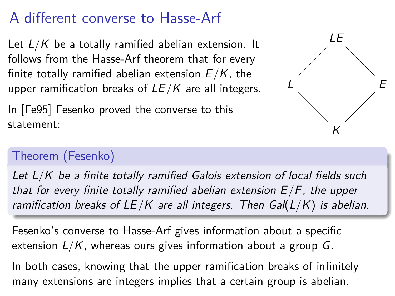# A different converse to Hasse-Arf

Let L*/*K be a totally ramified abelian extension. It follows from the Hasse-Arf theorem that for every finite totally ramified abelian extension E*/*K, the upper ramification breaks of LE*/*K are all integers.

In [Fe95] Fesenko proved the converse to this statement:  $K$ 



### Theorem (Fesenko)

Let  $L/K$  be a finite totally ramified Galois extension of local fields such that for every finite totally ramified abelian extension E*/*F, the upper ramification breaks of LE*/*K are all integers. Then Gal(L*/*K) is abelian.

Fesenko's converse to Hasse-Arf gives information about a specific extension L*/*K, whereas ours gives information about a group G.

In both cases, knowing that the upper ramification breaks of infinitely many extensions are integers implies that a certain group is abelian.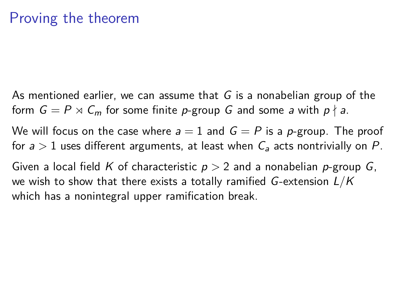As mentioned earlier, we can assume that  $G$  is a nonabelian group of the form  $G = P \rtimes C_m$  for some finite p-group G and some a with  $p \nmid a$ .

We will focus on the case where  $a = 1$  and  $G = P$  is a p-group. The proof for  $a > 1$  uses different arguments, at least when  $C_a$  acts nontrivially on P.

Given a local field K of characteristic p *>* 2 and a nonabelian p-group G, we wish to show that there exists a totally ramified G-extension L*/*K which has a nonintegral upper ramification break.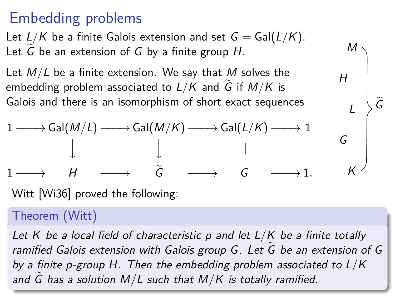# Embedding problems

Let  $L/K$  be a finite Galois extension and set  $G = \text{Gal}(L/K)$ . Let  $G$  be an extension of  $G$  by a finite group  $H$ .

Let M*/*L be a finite extension. We say that M solves the embedding problem associated to  $L/K$  and G if  $M/K$  is Galois and there is an isomorphism of short exact sequences



M

Ge

H

Witt [Wi36] proved the following:

#### Theorem (Witt)

Let K be a local field of characteristic p and let L*/*K be a finite totally ramified Galois extension with Galois group G. Let G be an extension of G by a finite p-group H. Then the embedding problem associated to L*/*K and G has a solution  $M/L$  such that  $M/K$  is totally ramified.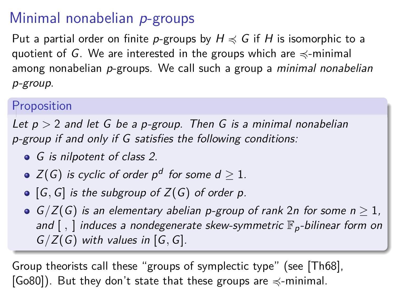# Minimal nonabelian p-groups

Put a partial order on finite p-groups by  $H \preccurlyeq G$  if H is isomorphic to a quotient of G. We are interested in the groups which are  $\preccurlyeq$ -minimal among nonabelian p-groups. We call such a group a *minimal nonabelian* p-group.

#### Proposition

Let p *>* 2 and let G be a p-group. Then G is a minimal nonabelian p-group if and only if G satisfies the following conditions:

- G is nilpotent of class 2.
- $Z(\mathsf{G})$  is cyclic of order  $p^d$  for some  $d\geq 1.$
- $\bullet$  [G, G] is the subgroup of  $Z(G)$  of order p.
- $G/Z(G)$  is an elementary abelian p-group of rank 2n for some  $n > 1$ , and  $[$ ,  $]$  induces a nondegenerate skew-symmetric  $\mathbb{F}_p$ -bilinear form on G*/*Z(G) with values in [G*,* G].

Group theorists call these "groups of symplectic type" (see [Th68],  $[Go80]$ ). But they don't state that these groups are  $\preccurlyeq$ -minimal.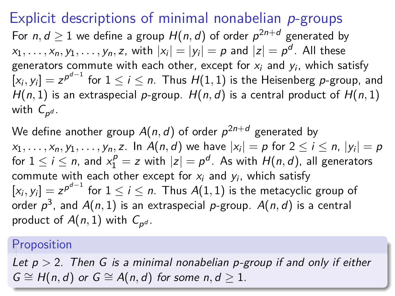Explicit descriptions of minimal nonabelian p-groups For  $n,d\geq 1$  we define a group  $H(n,d)$  of order  $\rho^{2n+d}$  generated by  $x_1,\ldots,x_n,y_1,\ldots,y_n,z$ , with  $|x_i|=|y_i|=p$  and  $|z|=p^d.$  All these generators commute with each other, except for  $x_i$  and  $y_i$ , which satisfy  $[x_i,y_i]=z^{p^{d-1}}$  for  $1\leq i\leq n.$  Thus  $H(1,1)$  is the Heisenberg  $p$ -group, and  $H(n, 1)$  is an extraspecial p-group.  $H(n, d)$  is a central product of  $H(n, 1)$ with  $\mathcal{C}_{p^d}.$ 

We define another group  $A(n,d)$  of order  $\rho^{2n+d}$  generated by  $x_1,\ldots,x_n,y_1,\ldots,y_n,z.$  In  $A(n,d)$  we have  $|x_i| = p$  for  $2 \leq i \leq n, \, |y_i| = p$ for  $1 \leq i \leq n$ , and  $x_1^p = z$  with  $|z| = p^d$ . As with  $H(n,d)$ , all generators commute with each other except for  $x_i$  and  $y_i$ , which satisfy  $[x_i,y_i]=z^{p^{d-1}}$  for  $1\leq i\leq n.$  Thus  $A(1,1)$  is the metacyclic group of order  $\rho^3$ , and  $A(n,1)$  is an extraspecial  $\rho$ -group.  $A(n,d)$  is a central product of  $A(n,1)$  with  $C_{\rho^d}$ .

#### Proposition

Let p *>* 2. Then G is a minimal nonabelian p-group if and only if either  $G \cong H(n,d)$  or  $G \cong A(n,d)$  for some  $n, d \geq 1$ .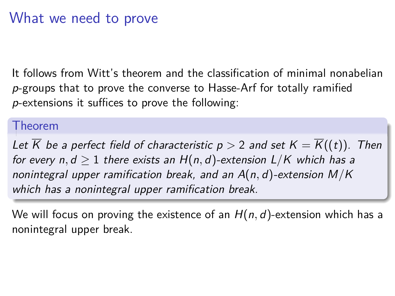### What we need to prove

It follows from Witt's theorem and the classification of minimal nonabelian p-groups that to prove the converse to Hasse-Arf for totally ramified p-extensions it suffices to prove the following:

#### Theorem

Let K be a perfect field of characteristic  $p > 2$  and set  $K = K((t))$ . Then for every  $n, d \geq 1$  there exists an  $H(n, d)$ -extension  $L/K$  which has a nonintegral upper ramification break, and an A(n*,* d)-extension M*/*K which has a nonintegral upper ramification break.

We will focus on proving the existence of an H(n*,* d)-extension which has a nonintegral upper break.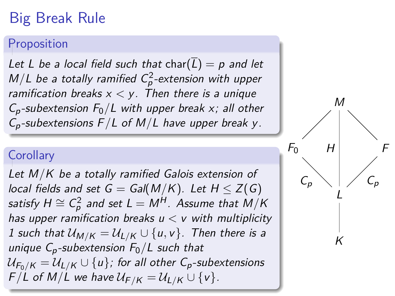# Big Break Rule

#### Proposition

Let L be a local field such that char( $\overline{L}$ ) = p and let  $M/L$  be a totally ramified  $C_p^2$ -extension with upper ramification breaks  $x < y$ . Then there is a unique  $C_p$ -subextension  $F_0/L$  with upper break x; all other Cp-subextensions F*/*L of M*/*L have upper break y.

#### **Corollary**

Let M*/*K be a totally ramified Galois extension of local fields and set  $G = Gal(M/K)$ . Let  $H \leq Z(G)$ satisfy  $H \cong \mathcal{C}^2_\rho$  and set  $\mathcal{L} = M^H$ . Assume that  $\dot{M}/K$ has upper ramification breaks  $u < v$  with multiplicity 1 such that  $U_{M/K} = U_{L/K} \cup \{u, v\}$ . Then there is a unique  $C_p$ -subextension  $F_0/L$  such that  $U_{F_0/K} = U_{L/K} \cup \{u\}$ ; for all other C<sub>p</sub>-subextensions  $F/L$  of M/L we have  $U_{F/K} = U_{L/K} \cup \{v\}.$ 

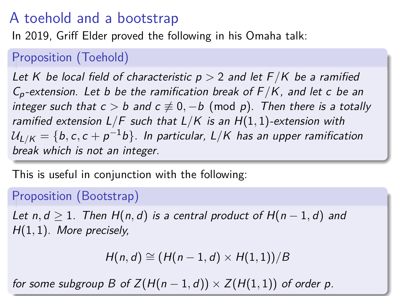## A toehold and a bootstrap

In 2019, Griff Elder proved the following in his Omaha talk:

#### Proposition (Toehold)

Let K be local field of characteristic p *>* 2 and let F*/*K be a ramified Cp-extension. Let b be the ramification break of F */*K, and let c be an integer such that  $c > b$  and  $c \neq 0, -b$  (mod p). Then there is a totally ramified extension L*/*F such that L*/*K is an H(1*,* 1)-extension with  $\mathcal{U}_{\mathsf{L}/\mathsf{K}} = \{ \mathsf{b}, \mathsf{c}, \mathsf{c} + \mathsf{p}^{-1} \mathsf{b} \}.$  In particular,  $\mathsf{L}/\mathsf{K}$  has an upper ramification break which is not an integer.

This is useful in conjunction with the following:

#### Proposition (Bootstrap)

Let  $n, d \geq 1$ . Then  $H(n, d)$  is a central product of  $H(n - 1, d)$  and H(1*,* 1). More precisely,

$$
H(n,d)\cong (H(n-1,d)\times H(1,1))/B
$$

for some subgroup B of  $Z(H(n-1,d)) \times Z(H(1,1))$  of order p.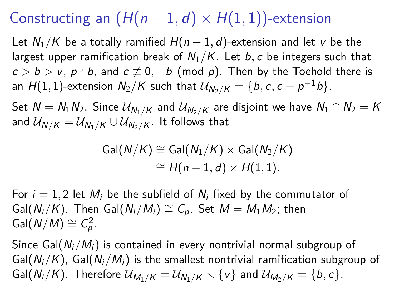# Constructing an  $(H(n-1,d) \times H(1,1))$ -extension

Let  $N_1/K$  be a totally ramified  $H(n-1, d)$ -extension and let v be the largest upper ramification break of  $N_1/K$ . Let b, c be integers such that  $c > b > v$ ,  $p \nmid b$ , and  $c \not\equiv 0, -b$  (mod p). Then by the Toehold there is an  $H(1,1)$ -extension  $N_2/K$  such that  $\mathcal{U}_{N_2/K} = \{b,c,c+p^{-1}b\}.$ 

Set  $N = N_1N_2$ . Since  $\mathcal{U}_{N_1/K}$  and  $\mathcal{U}_{N_2/K}$  are disjoint we have  $N_1 \cap N_2 = K$ and  $U_{N/K} = U_{N_1/K} \cup U_{N_2/K}$ . It follows that

$$
Gal(N/K) \cong Gal(N_1/K) \times Gal(N_2/K)
$$
  

$$
\cong H(n-1,d) \times H(1,1).
$$

For  $i = 1, 2$  let  $M_i$  be the subfield of  $N_i$  fixed by the commutator of Gal( $N_i/K$ ). Then Gal( $N_i/M_i$ )  $\cong C_p$ . Set  $M = M_1M_2$ ; then  $Gal(N/M) \cong C_p^2$ .

Since Gal( $N_i/M_i$ ) is contained in every nontrivial normal subgroup of Gal( $N_i/K$ ), Gal( $N_i/M_i$ ) is the smallest nontrivial ramification subgroup of Gal( $N_i/K$ ). Therefore  $\mathcal{U}_{M_1/K} = \mathcal{U}_{N_1/K} \setminus \{v\}$  and  $\mathcal{U}_{M_2/K} = \{b, c\}$ .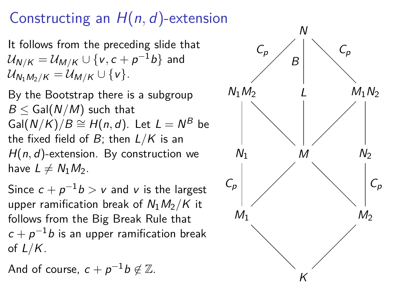# Constructing an H(n*,* d)-extension

It follows from the preceding slide that  $\mathcal{U}_{\mathsf{N}/\mathsf{K}}=\mathcal{U}_{\mathsf{M}/\mathsf{K}}\cup\{\mathsf{v},\mathsf{c}+\mathsf{p}^{-1}\mathsf{b}\}$  and  $U_{N_1M_2/K} = U_{M/K} \cup \{v\}.$ 

By the Bootstrap there is a subgroup  $B <$  Gal( $N/M$ ) such that  $\mathsf{Gal}(N/K)/B \cong H(n,d).$  Let  $L = N^B$  be the fixed field of B; then L*/*K is an H(n*,* d)-extension. By construction we have  $L \neq N_1M_2$ .

Since  $c + p^{-1}b > v$  and  $v$  is the largest upper ramification break of  $N_1M_2/K$  it follows from the Big Break Rule that  $c+p^{-1}b$  is an upper ramification break of L*/*K.

And of course,  $c + p^{-1}b \not\in \mathbb{Z}$ .

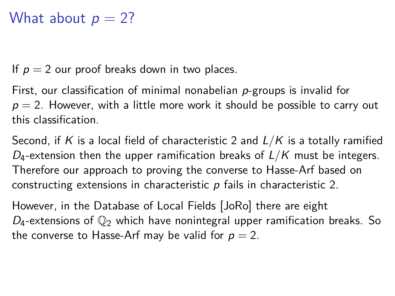### What about  $p = 2$ ?

If  $p = 2$  our proof breaks down in two places.

First, our classification of minimal nonabelian p-groups is invalid for  $p = 2$ . However, with a little more work it should be possible to carry out this classification.

Second, if K is a local field of characteristic 2 and L*/*K is a totally ramified  $D_4$ -extension then the upper ramification breaks of  $L/K$  must be integers. Therefore our approach to proving the converse to Hasse-Arf based on constructing extensions in characteristic p fails in characteristic 2.

However, in the Database of Local Fields [JoRo] there are eight  $D_4$ -extensions of  $\mathbb{Q}_2$  which have nonintegral upper ramification breaks. So the converse to Hasse-Arf may be valid for  $p = 2$ .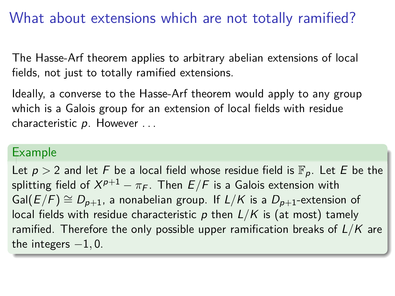### What about extensions which are not totally ramified?

The Hasse-Arf theorem applies to arbitrary abelian extensions of local fields, not just to totally ramified extensions.

Ideally, a converse to the Hasse-Arf theorem would apply to any group which is a Galois group for an extension of local fields with residue characteristic  $p$ . However  $\dots$ 

#### Example

Let  $p > 2$  and let F be a local field whose residue field is  $\mathbb{F}_p$ . Let E be the splitting field of  $X^{p+1}-\pi_F$ . Then  $E/F$  is a Galois extension with Gal( $E/F$ )  $\cong D_{p+1}$ , a nonabelian group. If  $L/K$  is a  $D_{p+1}$ -extension of local fields with residue characteristic  $p$  then  $L/K$  is (at most) tamely ramified. Therefore the only possible upper ramification breaks of L*/*K are the integers  $-1, 0$ .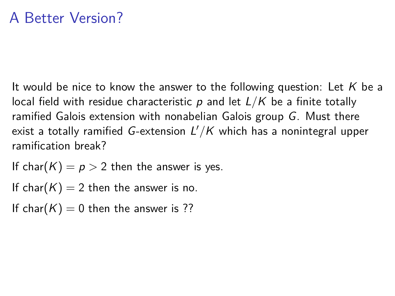It would be nice to know the answer to the following question: Let  $K$  be a local field with residue characteristic p and let L*/*K be a finite totally ramified Galois extension with nonabelian Galois group G. Must there exist a totally ramified  $G$ -extension  $L'/K$  which has a nonintegral upper ramification break?

If char( $K$ ) =  $p > 2$  then the answer is yes.

If char( $K$ ) = 2 then the answer is no.

If char( $K$ ) = 0 then the answer is ??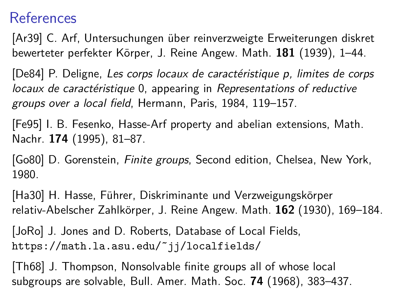### References

[Ar39] C. Arf, Untersuchungen uber reinverzweigte Erweiterungen diskret ¨ bewerteter perfekter K¨orper, J. Reine Angew. Math. **181** (1939), 1–44.

[De84] P. Deligne, Les corps locaux de caractéristique p, limites de corps locaux de caractéristique 0, appearing in Representations of reductive groups over a local field, Hermann, Paris, 1984, 119–157.

[Fe95] I. B. Fesenko, Hasse-Arf property and abelian extensions, Math. Nachr. **174** (1995), 81–87.

[Go80] D. Gorenstein, *Finite groups*, Second edition, Chelsea, New York, 1980.

[Ha30] H. Hasse, Führer, Diskriminante und Verzweigungskörper relativ-Abelscher Zahlkörper, J. Reine Angew. Math. **162** (1930), 169–184.

[JoRo] J. Jones and D. Roberts, Database of Local Fields, https://math.la.asu.edu/˜jj/localfields/

[Th68] J. Thompson, Nonsolvable finite groups all of whose local subgroups are solvable, Bull. Amer. Math. Soc. **74** (1968), 383–437.